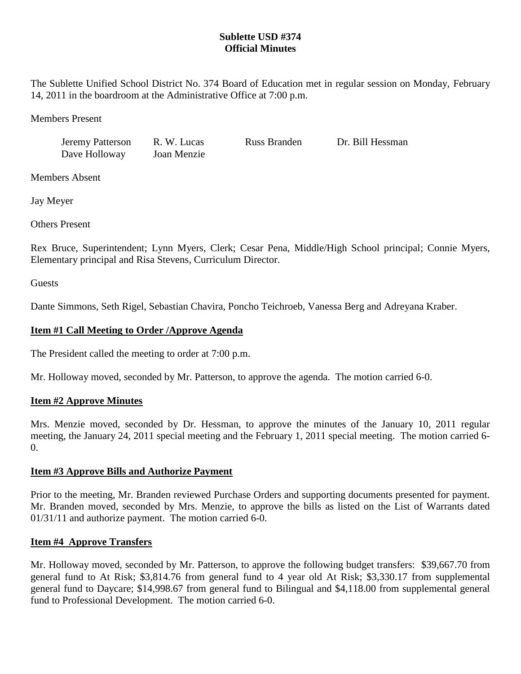# **Sublette USD #374 Official Minutes**

The Sublette Unified School District No. 374 Board of Education met in regular session on Monday, February 14, 2011 in the boardroom at the Administrative Office at 7:00 p.m.

Members Present

Jeremy Patterson R. W. Lucas Russ Branden Dr. Bill Hessman Dave Holloway Joan Menzie

Members Absent

Jay Meyer

Others Present

Rex Bruce, Superintendent; Lynn Myers, Clerk; Cesar Pena, Middle/High School principal; Connie Myers, Elementary principal and Risa Stevens, Curriculum Director.

**Guests** 

Dante Simmons, Seth Rigel, Sebastian Chavira, Poncho Teichroeb, Vanessa Berg and Adreyana Kraber.

# **Item #1 Call Meeting to Order /Approve Agenda**

The President called the meeting to order at 7:00 p.m.

Mr. Holloway moved, seconded by Mr. Patterson, to approve the agenda. The motion carried 6-0.

## **Item #2 Approve Minutes**

Mrs. Menzie moved, seconded by Dr. Hessman, to approve the minutes of the January 10, 2011 regular meeting, the January 24, 2011 special meeting and the February 1, 2011 special meeting. The motion carried 6-  $\Omega$ .

## **Item #3 Approve Bills and Authorize Payment**

Prior to the meeting, Mr. Branden reviewed Purchase Orders and supporting documents presented for payment. Mr. Branden moved, seconded by Mrs. Menzie, to approve the bills as listed on the List of Warrants dated 01/31/11 and authorize payment. The motion carried 6-0.

## **Item #4 Approve Transfers**

Mr. Holloway moved, seconded by Mr. Patterson, to approve the following budget transfers: \$39,667.70 from general fund to At Risk; \$3,814.76 from general fund to 4 year old At Risk; \$3,330.17 from supplemental general fund to Daycare; \$14,998.67 from general fund to Bilingual and \$4,118.00 from supplemental general fund to Professional Development. The motion carried 6-0.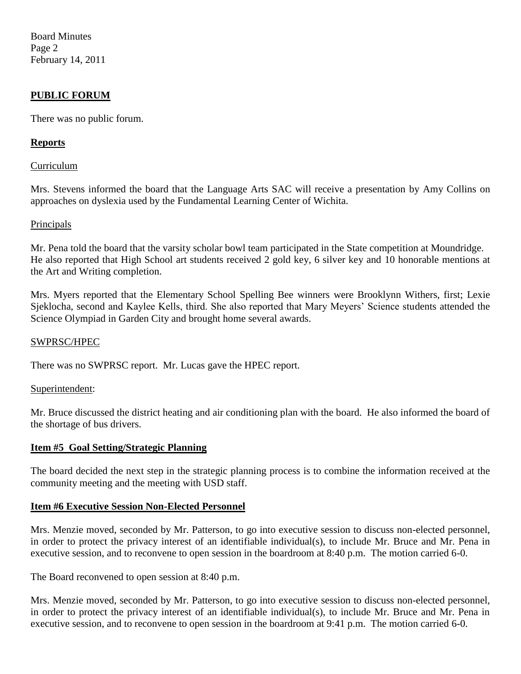Board Minutes Page 2 February 14, 2011

## **PUBLIC FORUM**

There was no public forum.

### **Reports**

#### Curriculum

Mrs. Stevens informed the board that the Language Arts SAC will receive a presentation by Amy Collins on approaches on dyslexia used by the Fundamental Learning Center of Wichita.

#### Principals

Mr. Pena told the board that the varsity scholar bowl team participated in the State competition at Moundridge. He also reported that High School art students received 2 gold key, 6 silver key and 10 honorable mentions at the Art and Writing completion.

Mrs. Myers reported that the Elementary School Spelling Bee winners were Brooklynn Withers, first; Lexie Sjeklocha, second and Kaylee Kells, third. She also reported that Mary Meyers' Science students attended the Science Olympiad in Garden City and brought home several awards.

#### SWPRSC/HPEC

There was no SWPRSC report. Mr. Lucas gave the HPEC report.

#### Superintendent:

Mr. Bruce discussed the district heating and air conditioning plan with the board. He also informed the board of the shortage of bus drivers.

#### **Item #5 Goal Setting/Strategic Planning**

The board decided the next step in the strategic planning process is to combine the information received at the community meeting and the meeting with USD staff.

#### **Item #6 Executive Session Non-Elected Personnel**

Mrs. Menzie moved, seconded by Mr. Patterson, to go into executive session to discuss non-elected personnel, in order to protect the privacy interest of an identifiable individual(s), to include Mr. Bruce and Mr. Pena in executive session, and to reconvene to open session in the boardroom at 8:40 p.m. The motion carried 6-0.

The Board reconvened to open session at 8:40 p.m.

Mrs. Menzie moved, seconded by Mr. Patterson, to go into executive session to discuss non-elected personnel, in order to protect the privacy interest of an identifiable individual(s), to include Mr. Bruce and Mr. Pena in executive session, and to reconvene to open session in the boardroom at 9:41 p.m. The motion carried 6-0.